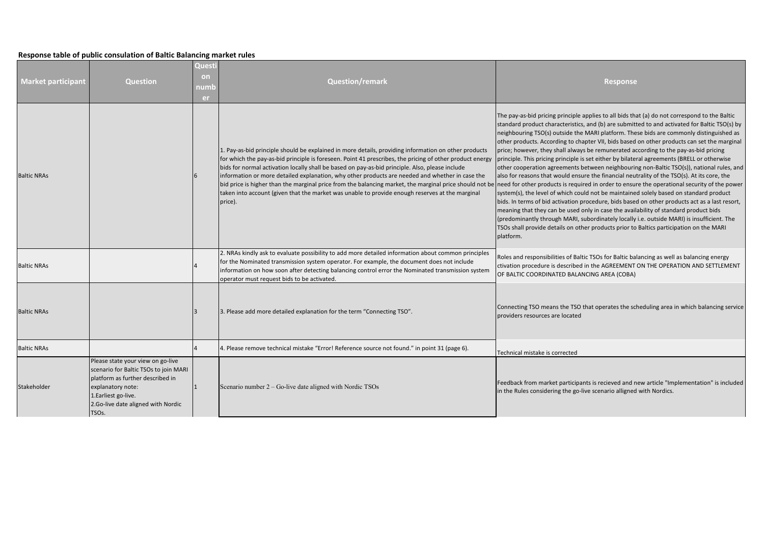## **Response table of public consulation of Baltic Balancing market rules**

| <b>Market participant</b> | <b>Question</b>                                                                                                                                                                                                         | Questi<br>on<br>numb<br>er | <b>Question/remark</b>                                                                                                                                                                                                                                                                                                                                                                                                                                                                                                                                                                                                                                                                                                                       | <b>Response</b>                                                                                                                                                                                                                                                                                                                                                                                                                                                                                                                                                                                                                                                                                                                                                                                                                                                                                                                                                                                                                                                                                                                                                                                                                                                       |
|---------------------------|-------------------------------------------------------------------------------------------------------------------------------------------------------------------------------------------------------------------------|----------------------------|----------------------------------------------------------------------------------------------------------------------------------------------------------------------------------------------------------------------------------------------------------------------------------------------------------------------------------------------------------------------------------------------------------------------------------------------------------------------------------------------------------------------------------------------------------------------------------------------------------------------------------------------------------------------------------------------------------------------------------------------|-----------------------------------------------------------------------------------------------------------------------------------------------------------------------------------------------------------------------------------------------------------------------------------------------------------------------------------------------------------------------------------------------------------------------------------------------------------------------------------------------------------------------------------------------------------------------------------------------------------------------------------------------------------------------------------------------------------------------------------------------------------------------------------------------------------------------------------------------------------------------------------------------------------------------------------------------------------------------------------------------------------------------------------------------------------------------------------------------------------------------------------------------------------------------------------------------------------------------------------------------------------------------|
| <b>Baltic NRAs</b>        |                                                                                                                                                                                                                         |                            | 1. Pay-as-bid principle should be explained in more details, providing information on other products<br>for which the pay-as-bid principle is foreseen. Point 41 prescribes, the pricing of other product energy<br>bids for normal activation locally shall be based on pay-as-bid principle. Also, please include<br>information or more detailed explanation, why other products are needed and whether in case the<br>bid price is higher than the marginal price from the balancing market, the marginal price should not be need for other products is required in order to ensure the operational security of the power<br>taken into account (given that the market was unable to provide enough reserves at the marginal<br>price). | The pay-as-bid pricing principle applies to all bids that (a) do not correspond to the Baltic<br>standard product characteristics, and (b) are submitted to and activated for Baltic TSO(s) by<br>neighbouring TSO(s) outside the MARI platform. These bids are commonly distinguished as<br>other products. According to chapter VII, bids based on other products can set the marginal<br>price; however, they shall always be remunerated according to the pay-as-bid pricing<br>principle. This pricing principle is set either by bilateral agreements (BRELL or otherwise<br>other cooperation agreements between neighbouring non-Baltic TSO(s)), national rules, and<br>also for reasons that would ensure the financial neutrality of the TSO(s). At its core, the<br>system(s), the level of which could not be maintained solely based on standard product<br>bids. In terms of bid activation procedure, bids based on other products act as a last resort,<br>meaning that they can be used only in case the availability of standard product bids<br>(predominantly through MARI, subordinately locally i.e. outside MARI) is insufficient. The<br>TSOs shall provide details on other products prior to Baltics participation on the MARI<br>platform. |
| <b>Baltic NRAs</b>        |                                                                                                                                                                                                                         |                            | 2. NRAs kindly ask to evaluate possibility to add more detailed information about common principles<br>for the Nominated transmission system operator. For example, the document does not include<br>information on how soon after detecting balancing control error the Nominated transmission system<br>operator must request bids to be activated.                                                                                                                                                                                                                                                                                                                                                                                        | Roles and responsibilities of Baltic TSOs for Baltic balancing as well as balancing energy<br>ctivation procedure is described in the AGREEMENT ON THE OPERATION AND SETTLEMENT<br>OF BALTIC COORDINATED BALANCING AREA (COBA)                                                                                                                                                                                                                                                                                                                                                                                                                                                                                                                                                                                                                                                                                                                                                                                                                                                                                                                                                                                                                                        |
| <b>Baltic NRAs</b>        |                                                                                                                                                                                                                         |                            | 3. Please add more detailed explanation for the term "Connecting TSO".                                                                                                                                                                                                                                                                                                                                                                                                                                                                                                                                                                                                                                                                       | Connecting TSO means the TSO that operates the scheduling area in which balancing service<br>providers resources are located                                                                                                                                                                                                                                                                                                                                                                                                                                                                                                                                                                                                                                                                                                                                                                                                                                                                                                                                                                                                                                                                                                                                          |
| <b>Baltic NRAs</b>        |                                                                                                                                                                                                                         |                            | 4. Please remove technical mistake "Error! Reference source not found." in point 31 (page 6).                                                                                                                                                                                                                                                                                                                                                                                                                                                                                                                                                                                                                                                | Technical mistake is corrected                                                                                                                                                                                                                                                                                                                                                                                                                                                                                                                                                                                                                                                                                                                                                                                                                                                                                                                                                                                                                                                                                                                                                                                                                                        |
| Stakeholder               | Please state your view on go-live<br>scenario for Baltic TSOs to join MARI<br>platform as further described in<br>explanatory note:<br>1. Earliest go-live.<br>2.Go-live date aligned with Nordic<br>TSO <sub>s</sub> . |                            | Scenario number $2 - Go$ -live date aligned with Nordic TSOs                                                                                                                                                                                                                                                                                                                                                                                                                                                                                                                                                                                                                                                                                 | Feedback from market participants is recieved and new article "Implementation" is included<br>in the Rules considering the go-live scenario alligned with Nordics.                                                                                                                                                                                                                                                                                                                                                                                                                                                                                                                                                                                                                                                                                                                                                                                                                                                                                                                                                                                                                                                                                                    |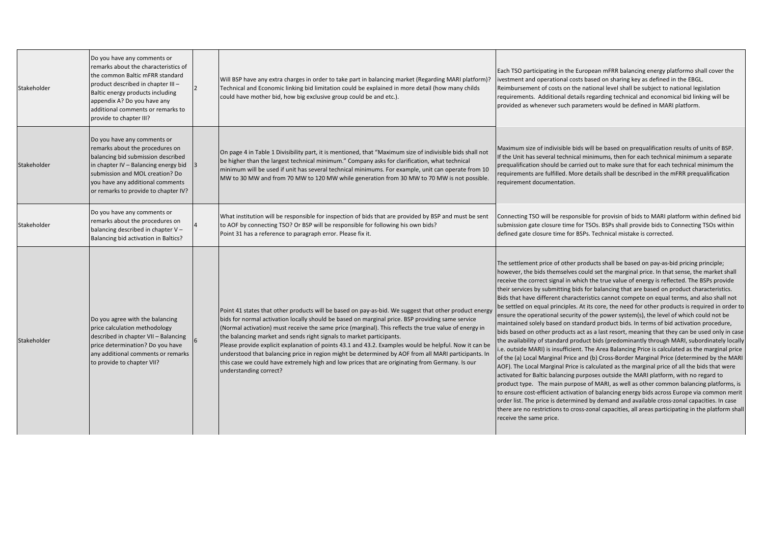| Stakeholder | Do you have any comments or<br>remarks about the characteristics of<br>the common Baltic mFRR standard<br>product described in chapter III-<br>Baltic energy products including<br>appendix A? Do you have any<br>additional comments or remarks to<br>provide to chapter III? | Will BSP have any extra charges in order to take part in balancing market (Regarding MARI platform)?<br>Technical and Economic linking bid limitation could be explained in more detail (how many childs<br>could have mother bid, how big exclusive group could be and etc.).                                                                                                                                                                                                                                                                                                                                                                                                                                                          | Each TSO participating in the European mFRR balancing energy platformo shall cover the<br>ivestment and operational costs based on sharing key as defined in the EBGL.<br>Reimbursement of costs on the national level shall be subject to national legislation<br>requirements. Additional details regarding technical and economical bid linking will be<br>provided as whenever such parameters would be defined in MARI platform.                                                                                                                                                                                                                                                                                                                                                                                                                                                                                                                                                                                                                                                                                                                                                                                                                                                                                                                                                                                                                                                                                                                                                                                                                                                                                                                                                           |
|-------------|--------------------------------------------------------------------------------------------------------------------------------------------------------------------------------------------------------------------------------------------------------------------------------|-----------------------------------------------------------------------------------------------------------------------------------------------------------------------------------------------------------------------------------------------------------------------------------------------------------------------------------------------------------------------------------------------------------------------------------------------------------------------------------------------------------------------------------------------------------------------------------------------------------------------------------------------------------------------------------------------------------------------------------------|-------------------------------------------------------------------------------------------------------------------------------------------------------------------------------------------------------------------------------------------------------------------------------------------------------------------------------------------------------------------------------------------------------------------------------------------------------------------------------------------------------------------------------------------------------------------------------------------------------------------------------------------------------------------------------------------------------------------------------------------------------------------------------------------------------------------------------------------------------------------------------------------------------------------------------------------------------------------------------------------------------------------------------------------------------------------------------------------------------------------------------------------------------------------------------------------------------------------------------------------------------------------------------------------------------------------------------------------------------------------------------------------------------------------------------------------------------------------------------------------------------------------------------------------------------------------------------------------------------------------------------------------------------------------------------------------------------------------------------------------------------------------------------------------------|
| Stakeholder | Do you have any comments or<br>remarks about the procedures on<br>balancing bid submission described<br>in chapter IV - Balancing energy bid<br>submission and MOL creation? Do<br>you have any additional comments<br>or remarks to provide to chapter IV?                    | On page 4 in Table 1 Divisibility part, it is mentioned, that "Maximum size of indivisible bids shall not<br>be higher than the largest technical minimum." Company asks for clarification, what technical<br>minimum will be used if unit has several technical minimums. For example, unit can operate from 10<br>MW to 30 MW and from 70 MW to 120 MW while generation from 30 MW to 70 MW is not possible.                                                                                                                                                                                                                                                                                                                          | Maximum size of indivisible bids will be based on prequalification results of units of BSP.<br>If the Unit has several technical minimums, then for each technical minimum a separate<br>prequalification should be carried out to make sure that for each technical minimum the<br>requirements are fulfilled. More details shall be described in the mFRR prequalification<br>requirement documentation.                                                                                                                                                                                                                                                                                                                                                                                                                                                                                                                                                                                                                                                                                                                                                                                                                                                                                                                                                                                                                                                                                                                                                                                                                                                                                                                                                                                      |
| Stakeholder | Do you have any comments or<br>remarks about the procedures on<br>balancing described in chapter V -<br>Balancing bid activation in Baltics?                                                                                                                                   | What institution will be responsible for inspection of bids that are provided by BSP and must be sent<br>to AOF by connecting TSO? Or BSP will be responsible for following his own bids?<br>Point 31 has a reference to paragraph error. Please fix it.                                                                                                                                                                                                                                                                                                                                                                                                                                                                                | Connecting TSO will be responsible for provisin of bids to MARI platform within defined bid<br>submission gate closure time for TSOs. BSPs shall provide bids to Connecting TSOs within<br>defined gate closure time for BSPs. Technical mistake is corrected.                                                                                                                                                                                                                                                                                                                                                                                                                                                                                                                                                                                                                                                                                                                                                                                                                                                                                                                                                                                                                                                                                                                                                                                                                                                                                                                                                                                                                                                                                                                                  |
| Stakeholder | Do you agree with the balancing<br>price calculation methodology<br>described in chapter VII - Balancing<br>price determination? Do you have<br>any additional comments or remarks<br>to provide to chapter VII?                                                               | Point 41 states that other products will be based on pay-as-bid. We suggest that other product energy<br>bids for normal activation locally should be based on marginal price. BSP providing same service<br>(Normal activation) must receive the same price (marginal). This reflects the true value of energy in<br>the balancing market and sends right signals to market participants.<br>Please provide explicit explanation of points 43.1 and 43.2. Examples would be helpful. Now it can be<br>understood that balancing price in region might be determined by AOF from all MARI participants. In<br>this case we could have extremely high and low prices that are originating from Germany. Is our<br>understanding correct? | The settlement price of other products shall be based on pay-as-bid pricing principle;<br>however, the bids themselves could set the marginal price. In that sense, the market shall<br>receive the correct signal in which the true value of energy is reflected. The BSPs provide<br>their services by submitting bids for balancing that are based on product characteristics.<br>Bids that have different characteristics cannot compete on equal terms, and also shall not<br>be settled on equal principles. At its core, the need for other products is required in order to<br>ensure the operational security of the power system(s), the level of which could not be<br>maintained solely based on standard product bids. In terms of bid activation procedure,<br>bids based on other products act as a last resort, meaning that they can be used only in case<br>the availability of standard product bids (predominantly through MARI, subordinately locally<br>i.e. outside MARI) is insufficient. The Area Balancing Price is calculated as the marginal price<br>of the (a) Local Marginal Price and (b) Cross-Border Marginal Price (determined by the MARI<br>AOF). The Local Marginal Price is calculated as the marginal price of all the bids that were<br>activated for Baltic balancing purposes outside the MARI platform, with no regard to<br>product type. The main purpose of MARI, as well as other common balancing platforms, is<br>to ensure cost-efficient activation of balancing energy bids across Europe via common merit<br>order list. The price is determined by demand and available cross-zonal capacities. In case<br>there are no restrictions to cross-zonal capacities, all areas participating in the platform shall<br>receive the same price. |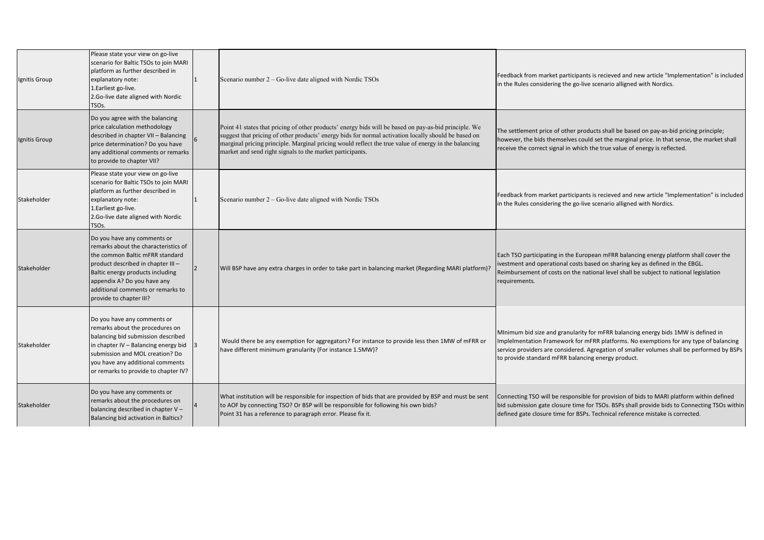| Ignitis Group | Please state your view on go-live<br>scenario for Baltic TSOs to join MARI<br>platform as further described in<br>explanatory note:<br>1. Earliest go-live.<br>2.Go-live date aligned with Nordic<br>TSOs.                                                                     |   | Scenario number $2 -$ Go-live date aligned with Nordic TSOs                                                                                                                                                                                                                                                                                                                        | Feedback from market participants is recieved and new article "Implementation" is included<br>in the Rules considering the go-live scenario alligned with Nordics.                                                                                                                                                             |
|---------------|--------------------------------------------------------------------------------------------------------------------------------------------------------------------------------------------------------------------------------------------------------------------------------|---|------------------------------------------------------------------------------------------------------------------------------------------------------------------------------------------------------------------------------------------------------------------------------------------------------------------------------------------------------------------------------------|--------------------------------------------------------------------------------------------------------------------------------------------------------------------------------------------------------------------------------------------------------------------------------------------------------------------------------|
| Ignitis Group | Do you agree with the balancing<br>price calculation methodology<br>described in chapter VII - Balancing<br>price determination? Do you have<br>any additional comments or remarks<br>to provide to chapter VII?                                                               | 6 | Point 41 states that pricing of other products' energy bids will be based on pay-as-bid principle. We<br>suggest that pricing of other products' energy bids for normal activation locally should be based on<br>marginal pricing principle. Marginal pricing would reflect the true value of energy in the balancing<br>market and send right signals to the market participants. | The settlement price of other products shall be based on pay-as-bid pricing principle;<br>however, the bids themselves could set the marginal price. In that sense, the market shall<br>receive the correct signal in which the true value of energy is reflected.                                                             |
| Stakeholder   | Please state your view on go-live<br>scenario for Baltic TSOs to join MARI<br>platform as further described in<br>explanatory note:<br>1. Earliest go-live.<br>2.Go-live date aligned with Nordic<br>TSO <sub>S</sub> .                                                        | 1 | Scenario number $2 - Go$ -live date aligned with Nordic TSOs                                                                                                                                                                                                                                                                                                                       | Feedback from market participants is recieved and new article "Implementation" is included<br>in the Rules considering the go-live scenario alligned with Nordics.                                                                                                                                                             |
| Stakeholder   | Do you have any comments or<br>remarks about the characteristics of<br>the common Baltic mFRR standard<br>product described in chapter III-<br>Baltic energy products including<br>appendix A? Do you have any<br>additional comments or remarks to<br>provide to chapter III? |   | Will BSP have any extra charges in order to take part in balancing market (Regarding MARI platform)?                                                                                                                                                                                                                                                                               | Each TSO participating in the European mFRR balancing energy platform shall cover the<br>ivestment and operational costs based on sharing key as defined in the EBGL.<br>Reimbursement of costs on the national level shall be subject to national legislation<br>requirements.                                                |
| Stakeholder   | Do you have any comments or<br>remarks about the procedures on<br>balancing bid submission described<br>in chapter IV - Balancing energy bid<br>submission and MOL creation? Do<br>you have any additional comments<br>or remarks to provide to chapter IV?                    |   | Would there be any exemption for aggregators? For instance to provide less then 1MW of mFRR or<br>have different minimum granularity (For instance 1.5MW)?                                                                                                                                                                                                                         | Minimum bid size and granularity for mFRR balancing energy bids 1MW is defined in<br>Implelmentation Framework for mFRR platforms. No exemptions for any type of balancing<br>service providers are considered. Agregation of smaller volumes shall be performed by BSPs<br>to provide standard mFRR balancing energy product. |
| Stakeholder   | Do you have any comments or<br>remarks about the procedures on<br>balancing described in chapter V-<br>Balancing bid activation in Baltics?                                                                                                                                    |   | What institution will be responsible for inspection of bids that are provided by BSP and must be sent<br>to AOF by connecting TSO? Or BSP will be responsible for following his own bids?<br>Point 31 has a reference to paragraph error. Please fix it.                                                                                                                           | Connecting TSO will be responsible for provision of bids to MARI platform within defined<br>bid submission gate closure time for TSOs. BSPs shall provide bids to Connecting TSOs within<br>defined gate closure time for BSPs. Technical reference mistake is corrected.                                                      |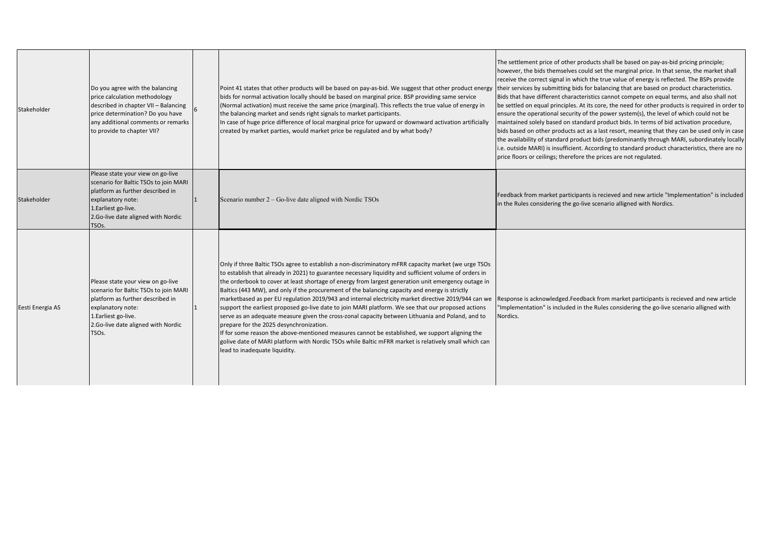| Stakeholder      | Do you agree with the balancing<br>price calculation methodology<br>described in chapter VII - Balancing<br>price determination? Do you have<br>any additional comments or remarks<br>to provide to chapter VII?        | Point 41 states that other products will be based on pay-as-bid. We suggest that other product energy<br>bids for normal activation locally should be based on marginal price. BSP providing same service<br>(Normal activation) must receive the same price (marginal). This reflects the true value of energy in<br>the balancing market and sends right signals to market participants.<br>In case of huge price difference of local marginal price for upward or downward activation artificially<br>created by market parties, would market price be regulated and by what body?                                                                                                                                                                                                                                                                                                                                                                                                                                          | The settlement price of other products shall be based on pay-as-bid pricing principle;<br>however, the bids themselves could set the marginal price. In that sense, the market shall<br>receive the correct signal in which the true value of energy is reflected. The BSPs provide<br>their services by submitting bids for balancing that are based on product characteristics.<br>Bids that have different characteristics cannot compete on equal terms, and also shall not<br>be settled on equal principles. At its core, the need for other products is required in order to<br>ensure the operational security of the power system(s), the level of which could not be<br>maintained solely based on standard product bids. In terms of bid activation procedure,<br>bids based on other products act as a last resort, meaning that they can be used only in case<br>the availability of standard product bids (predominantly through MARI, subordinately locally<br>i.e. outside MARI) is insufficient. According to standard product characteristics, there are no<br>price floors or ceilings; therefore the prices are not regulated. |
|------------------|-------------------------------------------------------------------------------------------------------------------------------------------------------------------------------------------------------------------------|--------------------------------------------------------------------------------------------------------------------------------------------------------------------------------------------------------------------------------------------------------------------------------------------------------------------------------------------------------------------------------------------------------------------------------------------------------------------------------------------------------------------------------------------------------------------------------------------------------------------------------------------------------------------------------------------------------------------------------------------------------------------------------------------------------------------------------------------------------------------------------------------------------------------------------------------------------------------------------------------------------------------------------|----------------------------------------------------------------------------------------------------------------------------------------------------------------------------------------------------------------------------------------------------------------------------------------------------------------------------------------------------------------------------------------------------------------------------------------------------------------------------------------------------------------------------------------------------------------------------------------------------------------------------------------------------------------------------------------------------------------------------------------------------------------------------------------------------------------------------------------------------------------------------------------------------------------------------------------------------------------------------------------------------------------------------------------------------------------------------------------------------------------------------------------------------|
| Stakeholder      | Please state your view on go-live<br>scenario for Baltic TSOs to join MARI<br>platform as further described in<br>explanatory note:<br>1. Earliest go-live.<br>2.Go-live date aligned with Nordic<br>TSO <sub>s</sub> . | Scenario number $2 - Go$ -live date aligned with Nordic TSOs                                                                                                                                                                                                                                                                                                                                                                                                                                                                                                                                                                                                                                                                                                                                                                                                                                                                                                                                                                   | Feedback from market participants is recieved and new article "Implementation" is included<br>in the Rules considering the go-live scenario alligned with Nordics.                                                                                                                                                                                                                                                                                                                                                                                                                                                                                                                                                                                                                                                                                                                                                                                                                                                                                                                                                                                 |
| Eesti Energia AS | Please state your view on go-live<br>scenario for Baltic TSOs to join MARI<br>platform as further described in<br>explanatory note:<br>1. Earliest go-live.<br>2.Go-live date aligned with Nordic<br>TSO <sub>s</sub> . | Only if three Baltic TSOs agree to establish a non-discriminatory mFRR capacity market (we urge TSOs<br>to establish that already in 2021) to guarantee necessary liquidity and sufficient volume of orders in<br>the orderbook to cover at least shortage of energy from largest generation unit emergency outage in<br>Baltics (443 MW), and only if the procurement of the balancing capacity and energy is strictly<br>marketbased as per EU regulation 2019/943 and internal electricity market directive 2019/944 can we<br>support the earliest proposed go-live date to join MARI platform. We see that our proposed actions<br>serve as an adequate measure given the cross-zonal capacity between Lithuania and Poland, and to<br>prepare for the 2025 desynchronization.<br>If for some reason the above-mentioned measures cannot be established, we support aligning the<br>golive date of MARI platform with Nordic TSOs while Baltic mFRR market is relatively small which can<br>lead to inadequate liquidity. | Response is acknowledged.Feedback from market participants is recieved and new article<br>'Implementation" is included in the Rules considering the go-live scenario alligned with<br>Nordics.                                                                                                                                                                                                                                                                                                                                                                                                                                                                                                                                                                                                                                                                                                                                                                                                                                                                                                                                                     |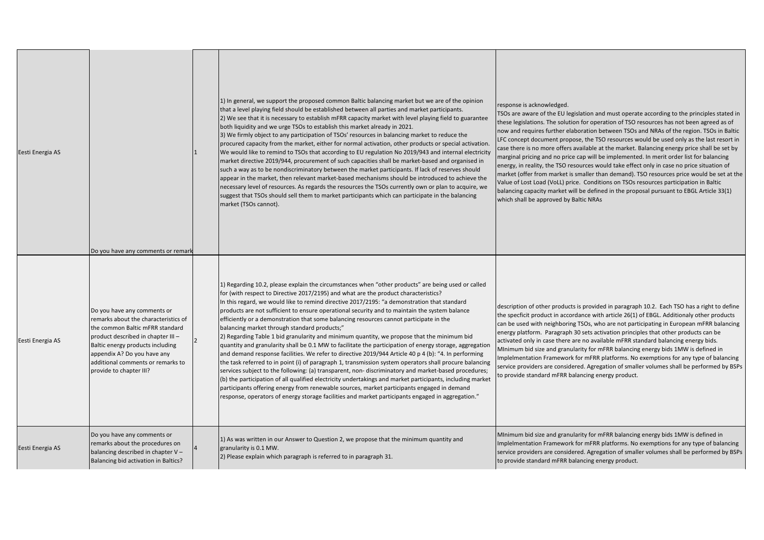| Eesti Energia AS | Do you have any comments or remark                                                                                                                                                                                                                                             | 1) In general, we support the proposed common Baltic balancing market but we are of the opinion<br>that a level playing field should be established between all parties and market participants.<br>2) We see that it is necessary to establish mFRR capacity market with level playing field to guarantee<br>both liquidity and we urge TSOs to establish this market already in 2021.<br>3) We firmly object to any participation of TSOs' resources in balancing market to reduce the<br>procured capacity from the market, either for normal activation, other products or special activation.<br>We would like to remind to TSOs that according to EU regulation No 2019/943 and internal electricity<br>market directive 2019/944, procurement of such capacities shall be market-based and organised in<br>such a way as to be nondiscriminatory between the market participants. If lack of reserves should<br>appear in the market, then relevant market-based mechanisms should be introduced to achieve the<br>necessary level of resources. As regards the resources the TSOs currently own or plan to acquire, we<br>suggest that TSOs should sell them to market participants which can participate in the balancing<br>market (TSOs cannot).                                                                                                                             | response is acknowledged.<br>TSOs are aware of the EU legislation and must operate according to the principles stated in<br>these legislations. The solution for operation of TSO resources has not been agreed as of<br>now and requires further elaboration between TSOs and NRAs of the region. TSOs in Baltic<br>LFC concept document propose, the TSO resources would be used only as the last resort in<br>case there is no more offers available at the market. Balancing energy price shall be set by<br>marginal pricing and no price cap will be implemented. In merit order list for balancing<br>energy, in reality, the TSO resources would take effect only in case no price situation of<br>market (offer from market is smaller than demand). TSO resources price would be set at the<br>Value of Lost Load (VoLL) price. Conditions on TSOs resources participation in Baltic<br>balancing capacity market will be defined in the proposal pursuant to EBGL Article 33(1)<br>which shall be approved by Baltic NRAs |
|------------------|--------------------------------------------------------------------------------------------------------------------------------------------------------------------------------------------------------------------------------------------------------------------------------|-----------------------------------------------------------------------------------------------------------------------------------------------------------------------------------------------------------------------------------------------------------------------------------------------------------------------------------------------------------------------------------------------------------------------------------------------------------------------------------------------------------------------------------------------------------------------------------------------------------------------------------------------------------------------------------------------------------------------------------------------------------------------------------------------------------------------------------------------------------------------------------------------------------------------------------------------------------------------------------------------------------------------------------------------------------------------------------------------------------------------------------------------------------------------------------------------------------------------------------------------------------------------------------------------------------------------------------------------------------------------------------------|--------------------------------------------------------------------------------------------------------------------------------------------------------------------------------------------------------------------------------------------------------------------------------------------------------------------------------------------------------------------------------------------------------------------------------------------------------------------------------------------------------------------------------------------------------------------------------------------------------------------------------------------------------------------------------------------------------------------------------------------------------------------------------------------------------------------------------------------------------------------------------------------------------------------------------------------------------------------------------------------------------------------------------------|
| Eesti Energia AS | Do you have any comments or<br>remarks about the characteristics of<br>the common Baltic mFRR standard<br>product described in chapter III-<br>Baltic energy products including<br>appendix A? Do you have any<br>additional comments or remarks to<br>provide to chapter III? | 1) Regarding 10.2, please explain the circumstances when "other products" are being used or called<br>for (with respect to Directive 2017/2195) and what are the product characteristics?<br>In this regard, we would like to remind directive 2017/2195: "a demonstration that standard<br>products are not sufficient to ensure operational security and to maintain the system balance<br>efficiently or a demonstration that some balancing resources cannot participate in the<br>balancing market through standard products;"<br>[2] Regarding Table 1 bid granularity and minimum quantity, we propose that the minimum bid<br>quantity and granularity shall be 0.1 MW to facilitate the participation of energy storage, aggregatior<br>and demand response facilities. We refer to directive 2019/944 Article 40 p 4 (b): "4. In performing<br>the task referred to in point (i) of paragraph 1, transmission system operators shall procure balancing<br>services subject to the following: (a) transparent, non-discriminatory and market-based procedures;<br>(b) the participation of all qualified electricity undertakings and market participants, including market<br>participants offering energy from renewable sources, market participants engaged in demand<br>response, operators of energy storage facilities and market participants engaged in aggregation." | description of other products is provided in paragraph 10.2. Each TSO has a right to define<br>the specficit product in accordance with article 26(1) of EBGL. Additionaly other products<br>can be used with neighboring TSOs, who are not participating in European mFRR balancing<br>energy platform. Paragraph 30 sets activation principles that other products can be<br>activated only in case there are no available mFRR standard balancing energy bids.<br>Minimum bid size and granularity for mFRR balancing energy bids 1MW is defined in<br>Implelmentation Framework for mFRR platforms. No exemptions for any type of balancing<br>service providers are considered. Agregation of smaller volumes shall be performed by BSPs<br>to provide standard mFRR balancing energy product.                                                                                                                                                                                                                                  |
| Eesti Energia AS | Do you have any comments or<br>remarks about the procedures on<br>balancing described in chapter V -<br>Balancing bid activation in Baltics?                                                                                                                                   | 1) As was written in our Answer to Question 2, we propose that the minimum quantity and<br>granularity is 0.1 MW.<br>2) Please explain which paragraph is referred to in paragraph 31.                                                                                                                                                                                                                                                                                                                                                                                                                                                                                                                                                                                                                                                                                                                                                                                                                                                                                                                                                                                                                                                                                                                                                                                                  | MInimum bid size and granularity for mFRR balancing energy bids 1MW is defined in<br>Implelmentation Framework for mFRR platforms. No exemptions for any type of balancing<br>service providers are considered. Agregation of smaller volumes shall be performed by BSPs<br>to provide standard mFRR balancing energy product.                                                                                                                                                                                                                                                                                                                                                                                                                                                                                                                                                                                                                                                                                                       |